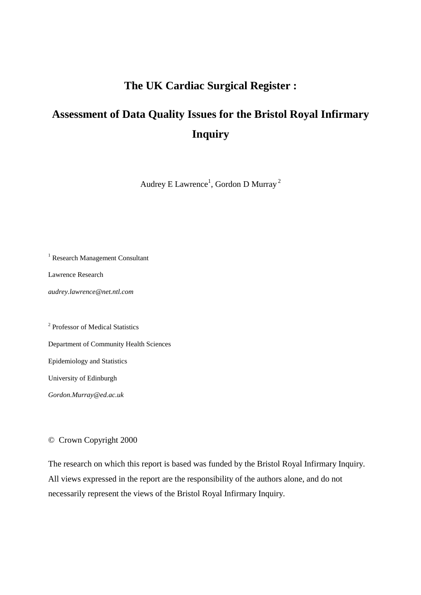# **The UK Cardiac Surgical Register :**

# **Assessment of Data Quality Issues for the Bristol Royal Infirmary Inquiry**

Audrey E Lawrence $^{\rm l}$ , Gordon D Murray  $^{\rm 2}$ 

<sup>1</sup> Research Management Consultant

Lawrence Research

*audrey.lawrence@net.ntl.com* 

<sup>2</sup> Professor of Medical Statistics Department of Community Health Sciences Epidemiology and Statistics University of Edinburgh

*Gordon.Murray@ed.ac.uk*

# © Crown Copyright 2000

The research on which this report is based was funded by the Bristol Royal Infirmary Inquiry. All views expressed in the report are the responsibility of the authors alone, and do not necessarily represent the views of the Bristol Royal Infirmary Inquiry.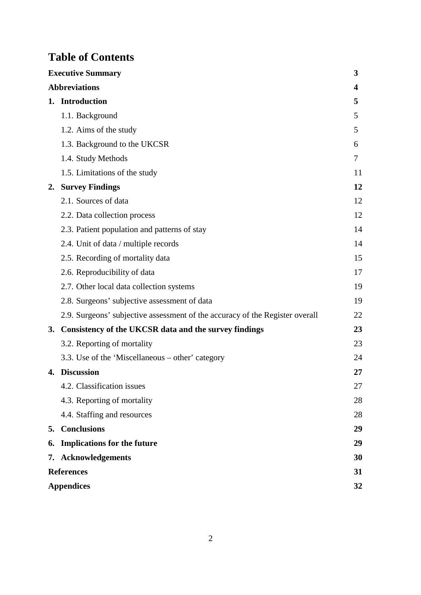# **Table of Contents**

|    | <b>Executive Summary</b>                                                     | 3  |  |  |  |
|----|------------------------------------------------------------------------------|----|--|--|--|
|    | <b>Abbreviations</b>                                                         | 4  |  |  |  |
|    | 1. Introduction                                                              | 5  |  |  |  |
|    | 1.1. Background                                                              | 5  |  |  |  |
|    | 1.2. Aims of the study                                                       | 5  |  |  |  |
|    | 1.3. Background to the UKCSR                                                 | 6  |  |  |  |
|    | 1.4. Study Methods                                                           | 7  |  |  |  |
|    | 1.5. Limitations of the study                                                | 11 |  |  |  |
| 2. | <b>Survey Findings</b>                                                       | 12 |  |  |  |
|    | 2.1. Sources of data                                                         | 12 |  |  |  |
|    | 2.2. Data collection process                                                 | 12 |  |  |  |
|    | 2.3. Patient population and patterns of stay                                 | 14 |  |  |  |
|    | 2.4. Unit of data / multiple records                                         | 14 |  |  |  |
|    | 2.5. Recording of mortality data                                             | 15 |  |  |  |
|    | 2.6. Reproducibility of data                                                 | 17 |  |  |  |
|    | 2.7. Other local data collection systems                                     | 19 |  |  |  |
|    | 2.8. Surgeons' subjective assessment of data                                 | 19 |  |  |  |
|    | 2.9. Surgeons' subjective assessment of the accuracy of the Register overall | 22 |  |  |  |
|    | 3. Consistency of the UKCSR data and the survey findings                     | 23 |  |  |  |
|    | 3.2. Reporting of mortality                                                  | 23 |  |  |  |
|    | 3.3. Use of the 'Miscellaneous – other' category                             | 24 |  |  |  |
|    | 4. Discussion                                                                | 27 |  |  |  |
|    | 4.2. Classification issues                                                   | 27 |  |  |  |
|    | 4.3. Reporting of mortality                                                  | 28 |  |  |  |
|    | 4.4. Staffing and resources                                                  | 28 |  |  |  |
| 5. | <b>Conclusions</b>                                                           | 29 |  |  |  |
| 6. | <b>Implications for the future</b>                                           | 29 |  |  |  |
| 7. | <b>Acknowledgements</b>                                                      | 30 |  |  |  |
|    | <b>References</b>                                                            | 31 |  |  |  |
|    | <b>Appendices</b><br>32                                                      |    |  |  |  |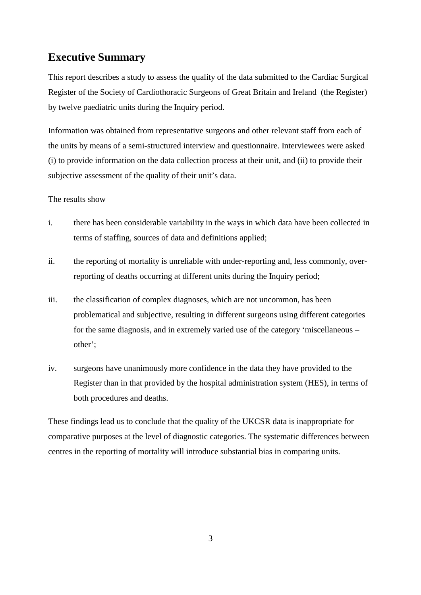# **Executive Summary**

This report describes a study to assess the quality of the data submitted to the Cardiac Surgical Register of the Society of Cardiothoracic Surgeons of Great Britain and Ireland (the Register) by twelve paediatric units during the Inquiry period.

Information was obtained from representative surgeons and other relevant staff from each of the units by means of a semi-structured interview and questionnaire. Interviewees were asked (i) to provide information on the data collection process at their unit, and (ii) to provide their subjective assessment of the quality of their unit's data.

## The results show

- i. there has been considerable variability in the ways in which data have been collected in terms of staffing, sources of data and definitions applied;
- ii. the reporting of mortality is unreliable with under-reporting and, less commonly, overreporting of deaths occurring at different units during the Inquiry period;
- iii. the classification of complex diagnoses, which are not uncommon, has been problematical and subjective, resulting in different surgeons using different categories for the same diagnosis, and in extremely varied use of the category 'miscellaneous – other';
- iv. surgeons have unanimously more confidence in the data they have provided to the Register than in that provided by the hospital administration system (HES), in terms of both procedures and deaths.

These findings lead us to conclude that the quality of the UKCSR data is inappropriate for comparative purposes at the level of diagnostic categories. The systematic differences between centres in the reporting of mortality will introduce substantial bias in comparing units.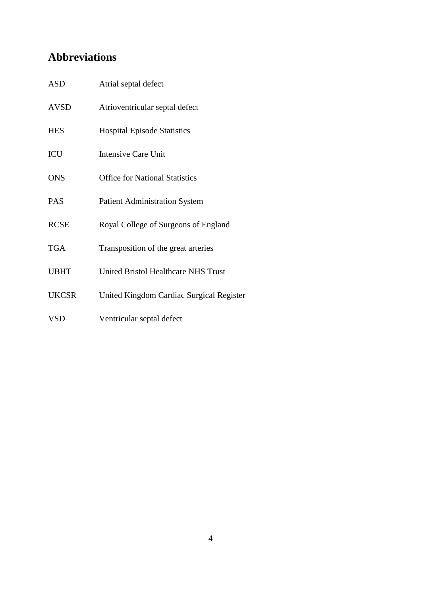# **Abbreviations**

| <b>ASD</b>   | Atrial septal defect                       |
|--------------|--------------------------------------------|
| <b>AVSD</b>  | Atrioventricular septal defect             |
| <b>HES</b>   | <b>Hospital Episode Statistics</b>         |
| ICU          | <b>Intensive Care Unit</b>                 |
| <b>ONS</b>   | <b>Office for National Statistics</b>      |
| <b>PAS</b>   | <b>Patient Administration System</b>       |
| <b>RCSE</b>  | Royal College of Surgeons of England       |
| <b>TGA</b>   | Transposition of the great arteries        |
| <b>UBHT</b>  | <b>United Bristol Healthcare NHS Trust</b> |
| <b>UKCSR</b> | United Kingdom Cardiac Surgical Register   |
| <b>VSD</b>   | Ventricular septal defect                  |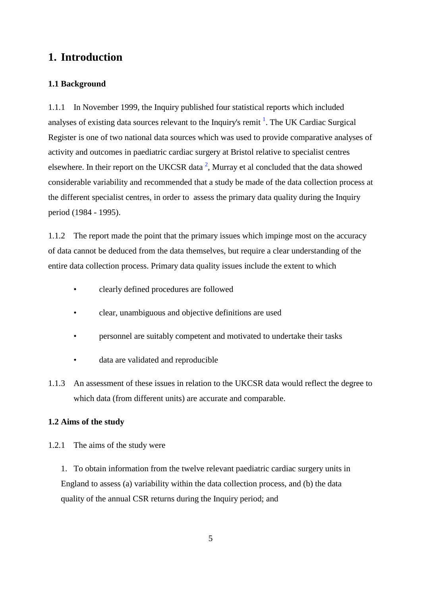# **1. Introduction**

## **1.1 Background**

1.1.1 In November 1999, the Inquiry published four statistical reports which included analyses of existing data sources relevant to the Inquiry's remit  $\frac{1}{1}$ . The UK Cardiac Surgical Register is one of two national data sources which was used to provide comparative analyses of activity and outcomes in paediatric cardiac surgery at Bristol relative to specialist centres elsewhere. In their report on the UKCSR data<sup>2</sup>, Murray et al concluded that the data showed considerable variability and recommended that a study be made of the data collection process at the different specialist centres, in order to assess the primary data quality during the Inquiry period (1984 - 1995).

1.1.2 The report made the point that the primary issues which impinge most on the accuracy of data cannot be deduced from the data themselves, but require a clear understanding of the entire data collection process. Primary data quality issues include the extent to which

- clearly defined procedures are followed
- clear, unambiguous and objective definitions are used
- personnel are suitably competent and motivated to undertake their tasks
- data are validated and reproducible
- 1.1.3 An assessment of these issues in relation to the UKCSR data would reflect the degree to which data (from different units) are accurate and comparable.

## **1.2 Aims of the study**

1.2.1 The aims of the study were

1. To obtain information from the twelve relevant paediatric cardiac surgery units in England to assess (a) variability within the data collection process, and (b) the data quality of the annual CSR returns during the Inquiry period; and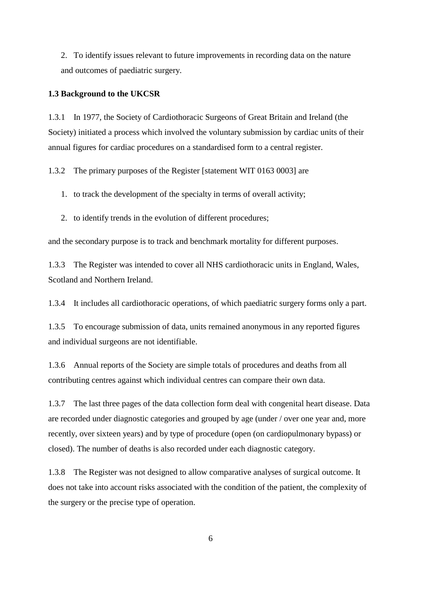2. To identify issues relevant to future improvements in recording data on the nature and outcomes of paediatric surgery.

#### **1.3 Background to the UKCSR**

1.3.1 In 1977, the Society of Cardiothoracic Surgeons of Great Britain and Ireland (the Society) initiated a process which involved the voluntary submission by cardiac units of their annual figures for cardiac procedures on a standardised form to a central register.

1.3.2 The primary purposes of the Register [statement WIT 0163 0003] are

1. to track the development of the specialty in terms of overall activity;

2. to identify trends in the evolution of different procedures;

and the secondary purpose is to track and benchmark mortality for different purposes.

1.3.3 The Register was intended to cover all NHS cardiothoracic units in England, Wales, Scotland and Northern Ireland.

1.3.4 It includes all cardiothoracic operations, of which paediatric surgery forms only a part.

1.3.5 To encourage submission of data, units remained anonymous in any reported figures and individual surgeons are not identifiable.

1.3.6 Annual reports of the Society are simple totals of procedures and deaths from all contributing centres against which individual centres can compare their own data.

1.3.7 The last three pages of the data collection form deal with congenital heart disease. Data are recorded under diagnostic categories and grouped by age (under / over one year and, more recently, over sixteen years) and by type of procedure (open (on cardiopulmonary bypass) or closed). The number of deaths is also recorded under each diagnostic category.

1.3.8 The Register was not designed to allow comparative analyses of surgical outcome. It does not take into account risks associated with the condition of the patient, the complexity of the surgery or the precise type of operation.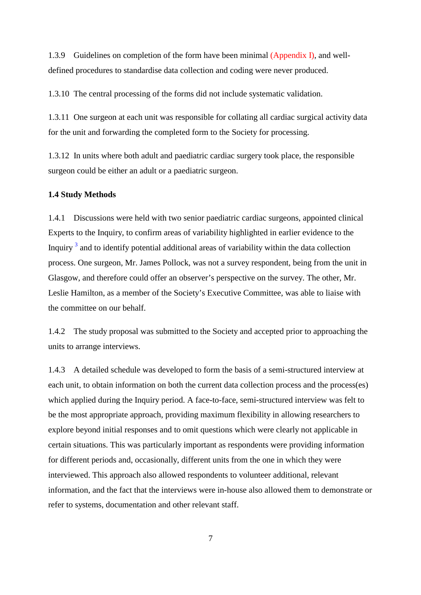1.3.9 Guidelines on completion of the form have been minimal (Appendix I), and welldefined procedures to standardise data collection and coding were never produced.

1.3.10 The central processing of the forms did not include systematic validation.

1.3.11 One surgeon at each unit was responsible for collating all cardiac surgical activity data for the unit and forwarding the completed form to the Society for processing.

1.3.12 In units where both adult and paediatric cardiac surgery took place, the responsible surgeon could be either an adult or a paediatric surgeon.

#### **1.4 Study Methods**

1.4.1 Discussions were held with two senior paediatric cardiac surgeons, appointed clinical Experts to the Inquiry, to confirm areas of variability highlighted in earlier evidence to the Inquiry<sup>3</sup> and to identify potential additional areas of variability within the data collection process. One surgeon, Mr. James Pollock, was not a survey respondent, being from the unit in Glasgow, and therefore could offer an observer's perspective on the survey. The other, Mr. Leslie Hamilton, as a member of the Society's Executive Committee, was able to liaise with the committee on our behalf.

1.4.2 The study proposal was submitted to the Society and accepted prior to approaching the units to arrange interviews.

1.4.3 A detailed schedule was developed to form the basis of a semi-structured interview at each unit, to obtain information on both the current data collection process and the process(es) which applied during the Inquiry period. A face-to-face, semi-structured interview was felt to be the most appropriate approach, providing maximum flexibility in allowing researchers to explore beyond initial responses and to omit questions which were clearly not applicable in certain situations. This was particularly important as respondents were providing information for different periods and, occasionally, different units from the one in which they were interviewed. This approach also allowed respondents to volunteer additional, relevant information, and the fact that the interviews were in-house also allowed them to demonstrate or refer to systems, documentation and other relevant staff.

7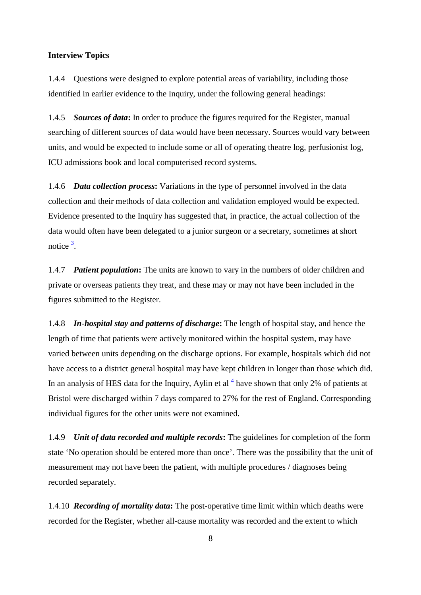#### **Interview Topics**

1.4.4 Questions were designed to explore potential areas of variability, including those identified in earlier evidence to the Inquiry, under the following general headings:

1.4.5 *Sources of data***:** In order to produce the figures required for the Register, manual searching of different sources of data would have been necessary. Sources would vary between units, and would be expected to include some or all of operating theatre log, perfusionist log, ICU admissions book and local computerised record systems.

1.4.6 *Data collection process***:** Variations in the type of personnel involved in the data collection and their methods of data collection and validation employed would be expected. Evidence presented to the Inquiry has suggested that, in practice, the actual collection of the data would often have been delegated to a junior surgeon or a secretary, sometimes at short notice<sup>3</sup>.

1.4.7 *Patient population***:** The units are known to vary in the numbers of older children and private or overseas patients they treat, and these may or may not have been included in the figures submitted to the Register.

1.4.8 *In-hospital stay and patterns of discharge***:** The length of hospital stay, and hence the length of time that patients were actively monitored within the hospital system, may have varied between units depending on the discharge options. For example, hospitals which did not have access to a district general hospital may have kept children in longer than those which did. In an analysis of HES data for the Inquiry, Aylin et al  $<sup>4</sup>$  have shown that only 2% of patients at</sup> Bristol were discharged within 7 days compared to 27% for the rest of England. Corresponding individual figures for the other units were not examined.

1.4.9 *Unit of data recorded and multiple records***:** The guidelines for completion of the form state 'No operation should be entered more than once'. There was the possibility that the unit of measurement may not have been the patient, with multiple procedures / diagnoses being recorded separately.

1.4.10 *Recording of mortality data***:** The post-operative time limit within which deaths were recorded for the Register, whether all-cause mortality was recorded and the extent to which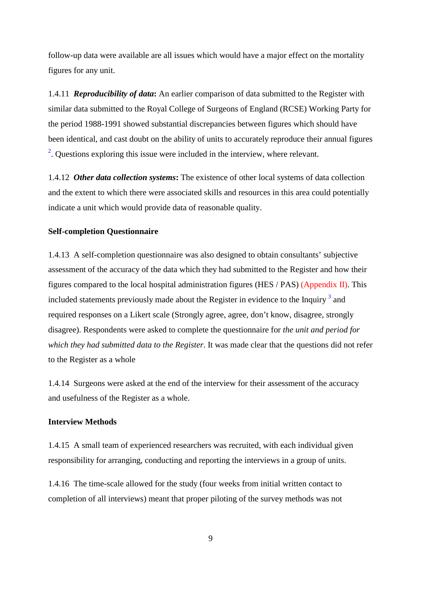follow-up data were available are all issues which would have a major effect on the mortality figures for any unit.

1.4.11 *Reproducibility of data***:** An earlier comparison of data submitted to the Register with similar data submitted to the Royal College of Surgeons of England (RCSE) Working Party for the period 1988-1991 showed substantial discrepancies between figures which should have been identical, and cast doubt on the ability of units to accurately reproduce their annual figures <sup>2</sup>. Questions exploring this issue were included in the interview, where relevant.

1.4.12 *Other data collection systems***:** The existence of other local systems of data collection and the extent to which there were associated skills and resources in this area could potentially indicate a unit which would provide data of reasonable quality.

#### **Self-completion Questionnaire**

1.4.13 A self-completion questionnaire was also designed to obtain consultants' subjective assessment of the accuracy of the data which they had submitted to the Register and how their figures compared to the local hospital administration figures (HES / PAS) (Appendix II). This included statements previously made about the Register in evidence to the Inquiry  $3$  and required responses on a Likert scale (Strongly agree, agree, don't know, disagree, strongly disagree). Respondents were asked to complete the questionnaire for *the unit and period for which they had submitted data to the Register*. It was made clear that the questions did not refer to the Register as a whole

1.4.14 Surgeons were asked at the end of the interview for their assessment of the accuracy and usefulness of the Register as a whole.

## **Interview Methods**

1.4.15 A small team of experienced researchers was recruited, with each individual given responsibility for arranging, conducting and reporting the interviews in a group of units.

1.4.16 The time-scale allowed for the study (four weeks from initial written contact to completion of all interviews) meant that proper piloting of the survey methods was not

9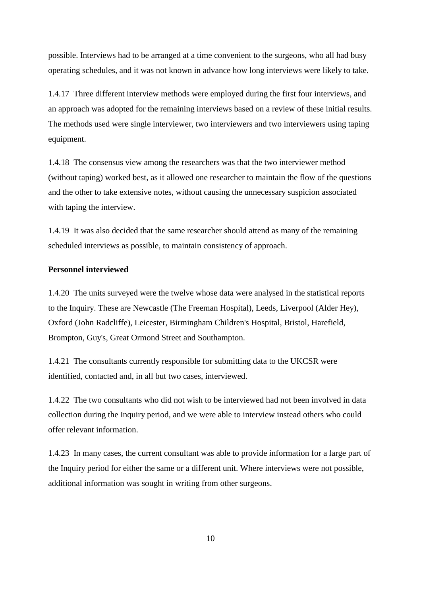possible. Interviews had to be arranged at a time convenient to the surgeons, who all had busy operating schedules, and it was not known in advance how long interviews were likely to take.

1.4.17 Three different interview methods were employed during the first four interviews, and an approach was adopted for the remaining interviews based on a review of these initial results. The methods used were single interviewer, two interviewers and two interviewers using taping equipment.

1.4.18 The consensus view among the researchers was that the two interviewer method (without taping) worked best, as it allowed one researcher to maintain the flow of the questions and the other to take extensive notes, without causing the unnecessary suspicion associated with taping the interview.

1.4.19 It was also decided that the same researcher should attend as many of the remaining scheduled interviews as possible, to maintain consistency of approach.

#### **Personnel interviewed**

1.4.20 The units surveyed were the twelve whose data were analysed in the statistical reports to the Inquiry. These are Newcastle (The Freeman Hospital), Leeds, Liverpool (Alder Hey), Oxford (John Radcliffe), Leicester, Birmingham Children's Hospital, Bristol, Harefield, Brompton, Guy's, Great Ormond Street and Southampton.

1.4.21 The consultants currently responsible for submitting data to the UKCSR were identified, contacted and, in all but two cases, interviewed.

1.4.22 The two consultants who did not wish to be interviewed had not been involved in data collection during the Inquiry period, and we were able to interview instead others who could offer relevant information.

1.4.23 In many cases, the current consultant was able to provide information for a large part of the Inquiry period for either the same or a different unit. Where interviews were not possible, additional information was sought in writing from other surgeons.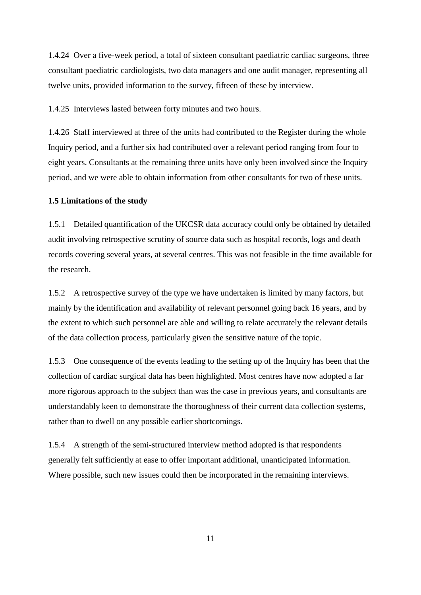1.4.24 Over a five-week period, a total of sixteen consultant paediatric cardiac surgeons, three consultant paediatric cardiologists, two data managers and one audit manager, representing all twelve units, provided information to the survey, fifteen of these by interview.

1.4.25 Interviews lasted between forty minutes and two hours.

1.4.26 Staff interviewed at three of the units had contributed to the Register during the whole Inquiry period, and a further six had contributed over a relevant period ranging from four to eight years. Consultants at the remaining three units have only been involved since the Inquiry period, and we were able to obtain information from other consultants for two of these units.

#### **1.5 Limitations of the study**

1.5.1 Detailed quantification of the UKCSR data accuracy could only be obtained by detailed audit involving retrospective scrutiny of source data such as hospital records, logs and death records covering several years, at several centres. This was not feasible in the time available for the research.

1.5.2 A retrospective survey of the type we have undertaken is limited by many factors, but mainly by the identification and availability of relevant personnel going back 16 years, and by the extent to which such personnel are able and willing to relate accurately the relevant details of the data collection process, particularly given the sensitive nature of the topic.

1.5.3 One consequence of the events leading to the setting up of the Inquiry has been that the collection of cardiac surgical data has been highlighted. Most centres have now adopted a far more rigorous approach to the subject than was the case in previous years, and consultants are understandably keen to demonstrate the thoroughness of their current data collection systems, rather than to dwell on any possible earlier shortcomings.

1.5.4 A strength of the semi-structured interview method adopted is that respondents generally felt sufficiently at ease to offer important additional, unanticipated information. Where possible, such new issues could then be incorporated in the remaining interviews.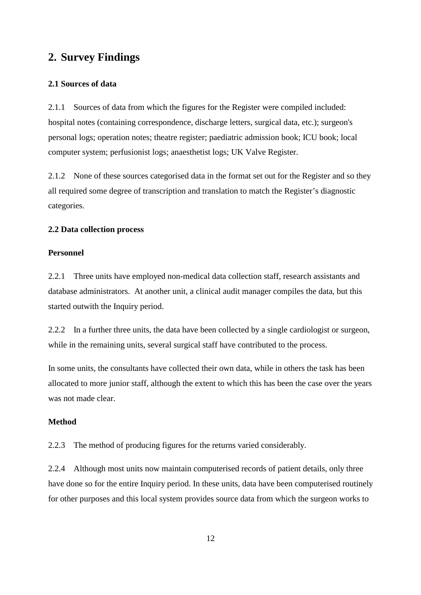# **2. Survey Findings**

#### **2.1 Sources of data**

2.1.1 Sources of data from which the figures for the Register were compiled included: hospital notes (containing correspondence, discharge letters, surgical data, etc.); surgeon's personal logs; operation notes; theatre register; paediatric admission book; ICU book; local computer system; perfusionist logs; anaesthetist logs; UK Valve Register.

2.1.2 None of these sources categorised data in the format set out for the Register and so they all required some degree of transcription and translation to match the Register's diagnostic categories.

#### **2.2 Data collection process**

## **Personnel**

2.2.1 Three units have employed non-medical data collection staff, research assistants and database administrators. At another unit, a clinical audit manager compiles the data, but this started outwith the Inquiry period.

2.2.2 In a further three units, the data have been collected by a single cardiologist or surgeon, while in the remaining units, several surgical staff have contributed to the process.

In some units, the consultants have collected their own data, while in others the task has been allocated to more junior staff, although the extent to which this has been the case over the years was not made clear.

## **Method**

2.2.3 The method of producing figures for the returns varied considerably.

2.2.4 Although most units now maintain computerised records of patient details, only three have done so for the entire Inquiry period. In these units, data have been computerised routinely for other purposes and this local system provides source data from which the surgeon works to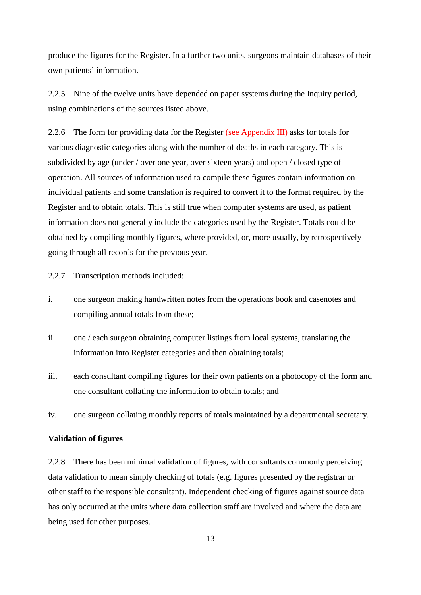produce the figures for the Register. In a further two units, surgeons maintain databases of their own patients' information.

2.2.5 Nine of the twelve units have depended on paper systems during the Inquiry period, using combinations of the sources listed above.

2.2.6 The form for providing data for the Register (see Appendix III) asks for totals for various diagnostic categories along with the number of deaths in each category. This is subdivided by age (under / over one year, over sixteen years) and open / closed type of operation. All sources of information used to compile these figures contain information on individual patients and some translation is required to convert it to the format required by the Register and to obtain totals. This is still true when computer systems are used, as patient information does not generally include the categories used by the Register. Totals could be obtained by compiling monthly figures, where provided, or, more usually, by retrospectively going through all records for the previous year.

2.2.7 Transcription methods included:

- i. one surgeon making handwritten notes from the operations book and casenotes and compiling annual totals from these;
- ii. one / each surgeon obtaining computer listings from local systems, translating the information into Register categories and then obtaining totals;
- iii. each consultant compiling figures for their own patients on a photocopy of the form and one consultant collating the information to obtain totals; and
- iv. one surgeon collating monthly reports of totals maintained by a departmental secretary.

#### **Validation of figures**

2.2.8 There has been minimal validation of figures, with consultants commonly perceiving data validation to mean simply checking of totals (e.g. figures presented by the registrar or other staff to the responsible consultant). Independent checking of figures against source data has only occurred at the units where data collection staff are involved and where the data are being used for other purposes.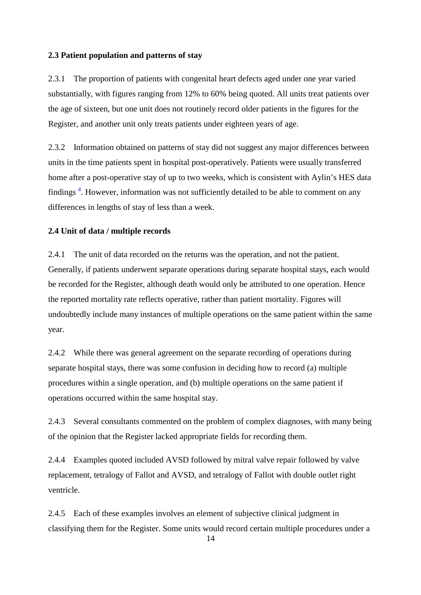#### **2.3 Patient population and patterns of stay**

2.3.1 The proportion of patients with congenital heart defects aged under one year varied substantially, with figures ranging from 12% to 60% being quoted. All units treat patients over the age of sixteen, but one unit does not routinely record older patients in the figures for the Register, and another unit only treats patients under eighteen years of age.

2.3.2 Information obtained on patterns of stay did not suggest any major differences between units in the time patients spent in hospital post-operatively. Patients were usually transferred home after a post-operative stay of up to two weeks, which is consistent with Aylin's HES data findings<sup>4</sup>. However, information was not sufficiently detailed to be able to comment on any differences in lengths of stay of less than a week.

### **2.4 Unit of data / multiple records**

2.4.1 The unit of data recorded on the returns was the operation, and not the patient. Generally, if patients underwent separate operations during separate hospital stays, each would be recorded for the Register, although death would only be attributed to one operation. Hence the reported mortality rate reflects operative, rather than patient mortality. Figures will undoubtedly include many instances of multiple operations on the same patient within the same year.

2.4.2 While there was general agreement on the separate recording of operations during separate hospital stays, there was some confusion in deciding how to record (a) multiple procedures within a single operation, and (b) multiple operations on the same patient if operations occurred within the same hospital stay.

2.4.3 Several consultants commented on the problem of complex diagnoses, with many being of the opinion that the Register lacked appropriate fields for recording them.

2.4.4 Examples quoted included AVSD followed by mitral valve repair followed by valve replacement, tetralogy of Fallot and AVSD, and tetralogy of Fallot with double outlet right ventricle.

2.4.5 Each of these examples involves an element of subjective clinical judgment in classifying them for the Register. Some units would record certain multiple procedures under a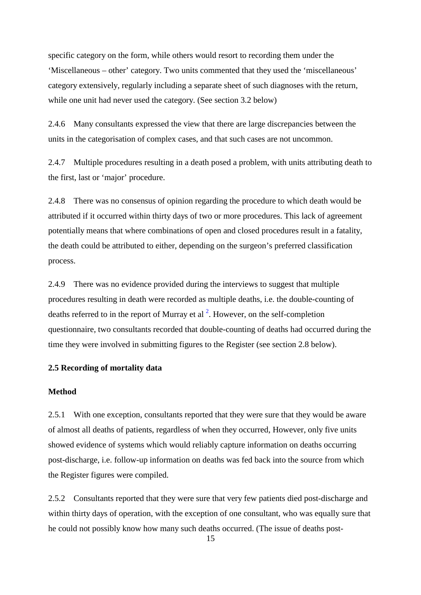specific category on the form, while others would resort to recording them under the 'Miscellaneous – other' category. Two units commented that they used the 'miscellaneous' category extensively, regularly including a separate sheet of such diagnoses with the return, while one unit had never used the category. (See section 3.2 below)

2.4.6 Many consultants expressed the view that there are large discrepancies between the units in the categorisation of complex cases, and that such cases are not uncommon.

2.4.7 Multiple procedures resulting in a death posed a problem, with units attributing death to the first, last or 'major' procedure.

2.4.8 There was no consensus of opinion regarding the procedure to which death would be attributed if it occurred within thirty days of two or more procedures. This lack of agreement potentially means that where combinations of open and closed procedures result in a fatality, the death could be attributed to either, depending on the surgeon's preferred classification process.

2.4.9 There was no evidence provided during the interviews to suggest that multiple procedures resulting in death were recorded as multiple deaths, i.e. the double-counting of deaths referred to in the report of Murray et al  $^2$ . However, on the self-completion questionnaire, two consultants recorded that double-counting of deaths had occurred during the time they were involved in submitting figures to the Register (see section 2.8 below).

## **2.5 Recording of mortality data**

### **Method**

2.5.1 With one exception, consultants reported that they were sure that they would be aware of almost all deaths of patients, regardless of when they occurred, However, only five units showed evidence of systems which would reliably capture information on deaths occurring post-discharge, i.e. follow-up information on deaths was fed back into the source from which the Register figures were compiled.

2.5.2 Consultants reported that they were sure that very few patients died post-discharge and within thirty days of operation, with the exception of one consultant, who was equally sure that he could not possibly know how many such deaths occurred. (The issue of deaths post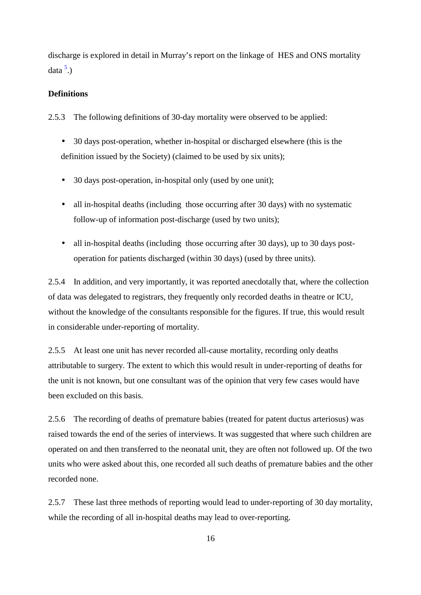discharge is explored in detail in Murray's report on the linkage of HES and ONS mortality data  $\frac{5}{2}$ .)

### **Definitions**

2.5.3 The following definitions of 30-day mortality were observed to be applied:

- 30 days post-operation, whether in-hospital or discharged elsewhere (this is the definition issued by the Society) (claimed to be used by six units);
- 30 days post-operation, in-hospital only (used by one unit);
- all in-hospital deaths (including those occurring after 30 days) with no systematic follow-up of information post-discharge (used by two units);
- all in-hospital deaths (including those occurring after 30 days), up to 30 days postoperation for patients discharged (within 30 days) (used by three units).

2.5.4 In addition, and very importantly, it was reported anecdotally that, where the collection of data was delegated to registrars, they frequently only recorded deaths in theatre or ICU, without the knowledge of the consultants responsible for the figures. If true, this would result in considerable under-reporting of mortality.

2.5.5 At least one unit has never recorded all-cause mortality, recording only deaths attributable to surgery. The extent to which this would result in under-reporting of deaths for the unit is not known, but one consultant was of the opinion that very few cases would have been excluded on this basis.

2.5.6 The recording of deaths of premature babies (treated for patent ductus arteriosus) was raised towards the end of the series of interviews. It was suggested that where such children are operated on and then transferred to the neonatal unit, they are often not followed up. Of the two units who were asked about this, one recorded all such deaths of premature babies and the other recorded none.

2.5.7 These last three methods of reporting would lead to under-reporting of 30 day mortality, while the recording of all in-hospital deaths may lead to over-reporting.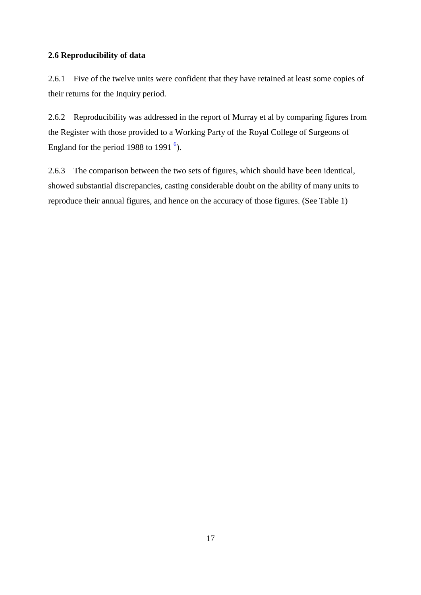## **2.6 Reproducibility of data**

2.6.1 Five of the twelve units were confident that they have retained at least some copies of their returns for the Inquiry period.

2.6.2 Reproducibility was addressed in the report of Murray et al by comparing figures from the Register with those provided to a Working Party of the Royal College of Surgeons of England for the period 1988 to 1991 $^6$ ).

2.6.3 The comparison between the two sets of figures, which should have been identical, showed substantial discrepancies, casting considerable doubt on the ability of many units to reproduce their annual figures, and hence on the accuracy of those figures. (See Table 1)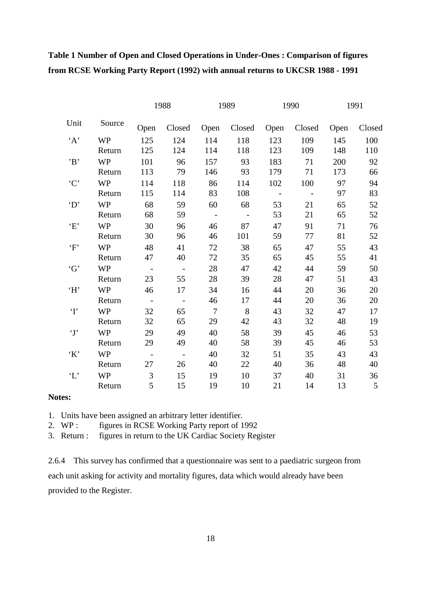# **Table 1 Number of Open and Closed Operations in Under-Ones : Comparison of figures from RCSE Working Party Report (1992) with annual returns to UKCSR 1988 - 1991**

|               |           |                 | 1988       | 1989            |             | 1990       |        | 1991 |                |
|---------------|-----------|-----------------|------------|-----------------|-------------|------------|--------|------|----------------|
| Unit          | Source    | Open            | Closed     |                 | Open Closed | Open       | Closed | Open | Closed         |
| A             | <b>WP</b> | 125             | 124        | 114             | 118         | 123        | 109    | 145  | 100            |
|               | Return    | 125             | 124        | 114             | 118         | 123        | 109    | 148  | 110            |
| B             | <b>WP</b> | 101             | 96         | 157             | 93          | 183        | 71     | 200  | 92             |
|               | Return    | 113             | 79         | 146             | 93          | 179        | 71     | 173  | 66             |
| $\cdot$ C'    | <b>WP</b> | 114             | 118        | 86              | 114         | 102        | 100    | 97   | 94             |
|               | Return    | 115             | 114        | 83              | 108         | $\sim$ $-$ | $\sim$ | 97   | 83             |
| $\Delta$      | <b>WP</b> | 68              | 59         | 60              | 68          | 53         | 21     | 65   | 52             |
|               | Return    | 68              | 59         | $\sim$ $-$      | $\sim$ $-$  | 53         | 21     | 65   | 52             |
| E             | <b>WP</b> | 30              | 96         | 46              | 87          | 47         | 91     | 71   | 76             |
|               | Return    | 30              | 96         | 46              | 101         | 59         | 77     | 81   | 52             |
| $\mathbf{F}$  | <b>WP</b> | 48              | 41         | 72              | 38          | 65         | 47     | 55   | 43             |
|               | Return    | 47              | 40         | 72              | 35          | 65         | 45     | 55   | 41             |
| G'            | <b>WP</b> | $\sim$ $-$      | $\sim$ $-$ | 28              | 47          | 42         | 44     | 59   | 50             |
|               | Return    | 23              | 55         | 28              | 39          | 28         | 47     | 51   | 43             |
| 'H'           | <b>WP</b> | 46              | 17         | 34              | 16          | 44         | 20     | 36   | 20             |
|               | Return    | $\sim$ $-$      | $\sim$ $-$ | 46              | 17          | 44         | 20     | 36   | 20             |
| $\mathbf{T}$  | <b>WP</b> | 32              | 65         | $7\phantom{.0}$ | 8           | 43         | 32     | 47   | 17             |
|               | Return    | 32              | 65         | 29              | 42          | 43         | 32     | 48   | 19             |
| $\mathbf{y}$  | <b>WP</b> | 29              | 49         | 40              | 58          | 39         | 45     | 46   | 53             |
|               | Return    | 29              | 49         | 40              | 58          | 39         | 45     | 46   | 53             |
| $\cdot$ K'    | <b>WP</b> | $\sim$ $-$      | $\sim$ $-$ | 40              | 32          | 51         | 35     | 43   | 43             |
|               | Return    | 27              | 26         | 40              | 22          | 40         | 36     | 48   | 40             |
| $\mathcal{L}$ | <b>WP</b> | $\overline{3}$  | 15         | 19              | 10          | 37         | 40     | 31   | 36             |
|               | Return    | $5\overline{)}$ | 15         | 19              | 10          | 21         | 14     | 13   | $\overline{5}$ |

#### **Notes:**

1. Units have been assigned an arbitrary letter identifier.

2. WP : figures in RCSE Working Party report of 1992

3. Return : figures in return to the UK Cardiac Society Register

2.6.4 This survey has confirmed that a questionnaire was sent to a paediatric surgeon from each unit asking for activity and mortality figures, data which would already have been provided to the Register.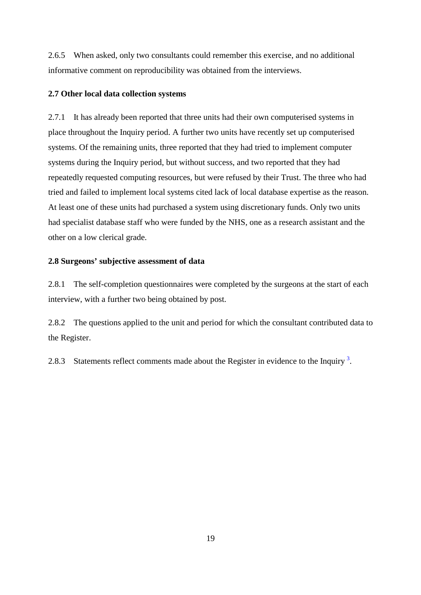2.6.5 When asked, only two consultants could remember this exercise, and no additional informative comment on reproducibility was obtained from the interviews.

## **2.7 Other local data collection systems**

2.7.1 It has already been reported that three units had their own computerised systems in place throughout the Inquiry period. A further two units have recently set up computerised systems. Of the remaining units, three reported that they had tried to implement computer systems during the Inquiry period, but without success, and two reported that they had repeatedly requested computing resources, but were refused by their Trust. The three who had tried and failed to implement local systems cited lack of local database expertise as the reason. At least one of these units had purchased a system using discretionary funds. Only two units had specialist database staff who were funded by the NHS, one as a research assistant and the other on a low clerical grade.

## **2.8 Surgeons' subjective assessment of data**

2.8.1 The self-completion questionnaires were completed by the surgeons at the start of each interview, with a further two being obtained by post.

2.8.2 The questions applied to the unit and period for which the consultant contributed data to the Register.

2.8.3 Statements reflect comments made about the Register in evidence to the Inquiry<sup>3</sup>.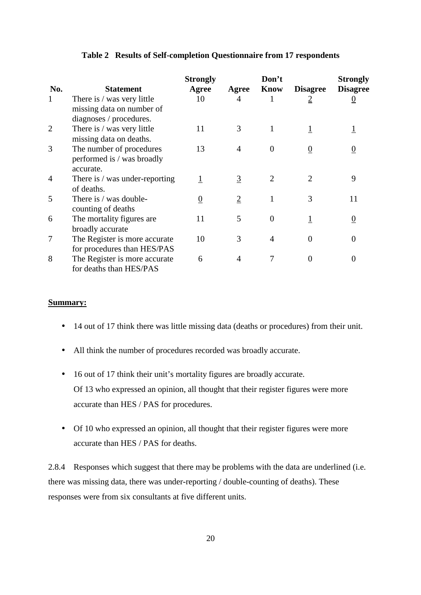|                |                                                                                    | <b>Strongly</b> |                | Don't    |                 | <b>Strongly</b> |
|----------------|------------------------------------------------------------------------------------|-----------------|----------------|----------|-----------------|-----------------|
| No.            | <b>Statement</b>                                                                   | Agree           | Agree          | Know     | <b>Disagree</b> | <b>Disagree</b> |
| $\mathbf{1}$   | There is / was very little<br>missing data on number of<br>diagnoses / procedures. | 10              | 4              | 1        | $\overline{2}$  | $\underline{0}$ |
| $\overline{2}$ | There is / was very little<br>missing data on deaths.                              | 11              | 3              | 1        |                 |                 |
| 3              | The number of procedures<br>performed is / was broadly<br>accurate.                | 13              | $\overline{4}$ | $\Omega$ | $\overline{0}$  |                 |
| 4              | There is / was under-reporting<br>of deaths.                                       | 1               | $\overline{3}$ | 2        |                 | 9               |
| 5              | There is / was double-<br>counting of deaths                                       | $\overline{0}$  | $\overline{2}$ |          | 3               | 11              |
| 6              | The mortality figures are.<br>broadly accurate                                     | 11              | 5              | 0        |                 |                 |
| 7              | The Register is more accurate.<br>for procedures than HES/PAS                      | 10              | 3              | 4        | $\theta$        | $\Omega$        |
| 8              | The Register is more accurate<br>for deaths than HES/PAS                           | 6               | 4              | 7        | $\Omega$        | $\theta$        |

#### **Table 2 Results of Self-completion Questionnaire from 17 respondents**

#### **Summary:**

- 14 out of 17 think there was little missing data (deaths or procedures) from their unit.
- All think the number of procedures recorded was broadly accurate.
- 16 out of 17 think their unit's mortality figures are broadly accurate. Of 13 who expressed an opinion, all thought that their register figures were more accurate than HES / PAS for procedures.
- Of 10 who expressed an opinion, all thought that their register figures were more accurate than HES / PAS for deaths.

2.8.4 Responses which suggest that there may be problems with the data are underlined (i.e. there was missing data, there was under-reporting / double-counting of deaths). These responses were from six consultants at five different units.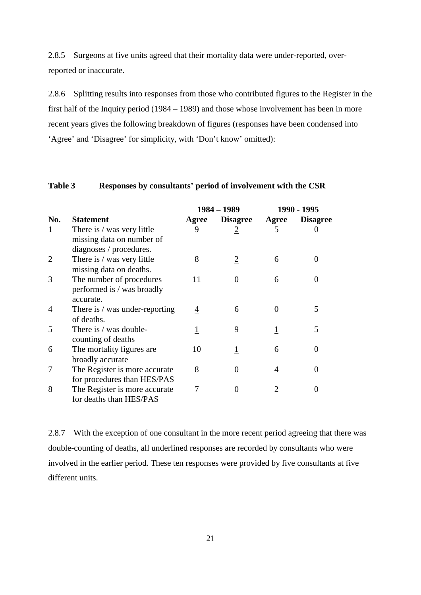2.8.5 Surgeons at five units agreed that their mortality data were under-reported, overreported or inaccurate.

2.8.6 Splitting results into responses from those who contributed figures to the Register in the first half of the Inquiry period (1984 – 1989) and those whose involvement has been in more recent years gives the following breakdown of figures (responses have been condensed into 'Agree' and 'Disagree' for simplicity, with 'Don't know' omitted):

#### **Table 3 Responses by consultants' period of involvement with the CSR**

|                |                                |       | 1984 – 1989     | 1990 - 1995 |                 |  |
|----------------|--------------------------------|-------|-----------------|-------------|-----------------|--|
| No.            | <b>Statement</b>               | Agree | <b>Disagree</b> | Agree       | <b>Disagree</b> |  |
| 1              | There is / was very little     | 9     | $\overline{2}$  | 5           |                 |  |
|                | missing data on number of      |       |                 |             |                 |  |
|                | diagnoses / procedures.        |       |                 |             |                 |  |
| $\overline{2}$ | There is / was very little     | 8     | 2               | 6           |                 |  |
|                | missing data on deaths.        |       |                 |             |                 |  |
| 3              | The number of procedures       | 11    | $\Omega$        | 6           |                 |  |
|                | performed is / was broadly     |       |                 |             |                 |  |
|                | accurate.                      |       |                 |             |                 |  |
| 4              | There is / was under-reporting | 4     | 6               |             | 5               |  |
|                | of deaths.                     |       |                 |             |                 |  |
| 5              | There is / was double-         |       | 9               |             | 5               |  |
|                | counting of deaths             |       |                 |             |                 |  |
| 6              | The mortality figures are      | 10    | 1               | 6           | 0               |  |
|                | broadly accurate               |       |                 |             |                 |  |
| 7              | The Register is more accurate  | 8     | 0               | 4           |                 |  |
|                | for procedures than HES/PAS    |       |                 |             |                 |  |
| 8              | The Register is more accurate  |       | 0               | 2           | 0               |  |
|                | for deaths than HES/PAS        |       |                 |             |                 |  |

2.8.7 With the exception of one consultant in the more recent period agreeing that there was double-counting of deaths, all underlined responses are recorded by consultants who were involved in the earlier period. These ten responses were provided by five consultants at five different units.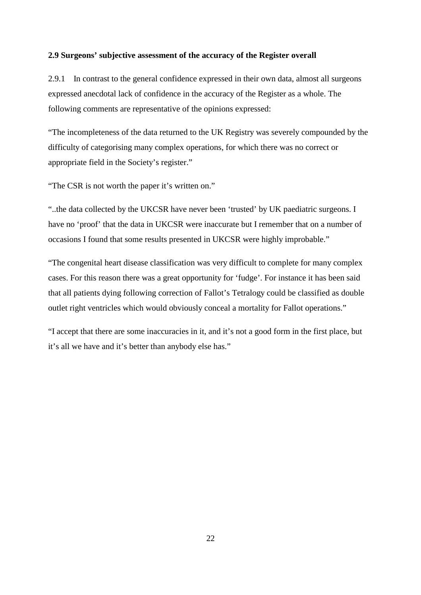#### **2.9 Surgeons' subjective assessment of the accuracy of the Register overall**

2.9.1 In contrast to the general confidence expressed in their own data, almost all surgeons expressed anecdotal lack of confidence in the accuracy of the Register as a whole. The following comments are representative of the opinions expressed:

"The incompleteness of the data returned to the UK Registry was severely compounded by the difficulty of categorising many complex operations, for which there was no correct or appropriate field in the Society's register."

"The CSR is not worth the paper it's written on."

"..the data collected by the UKCSR have never been 'trusted' by UK paediatric surgeons. I have no 'proof' that the data in UKCSR were inaccurate but I remember that on a number of occasions I found that some results presented in UKCSR were highly improbable."

"The congenital heart disease classification was very difficult to complete for many complex cases. For this reason there was a great opportunity for 'fudge'. For instance it has been said that all patients dying following correction of Fallot's Tetralogy could be classified as double outlet right ventricles which would obviously conceal a mortality for Fallot operations."

"I accept that there are some inaccuracies in it, and it's not a good form in the first place, but it's all we have and it's better than anybody else has."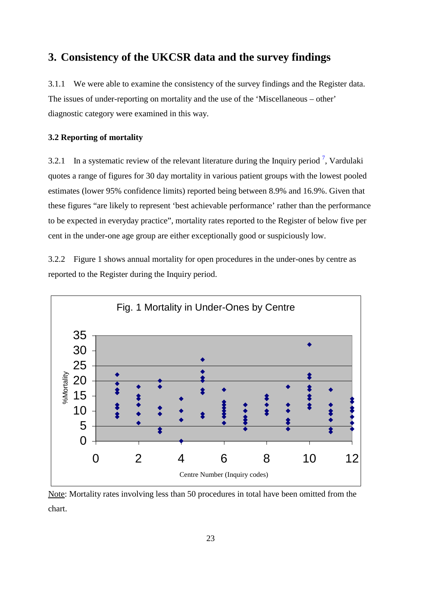# **3. Consistency of the UKCSR data and the survey findings**

3.1.1 We were able to examine the consistency of the survey findings and the Register data. The issues of under-reporting on mortality and the use of the 'Miscellaneous – other' diagnostic category were examined in this way.

## **3.2 Reporting of mortality**

3.2.1 In a systematic review of the relevant literature during the Inquiry period<sup>7</sup>, Vardulaki quotes a range of figures for 30 day mortality in various patient groups with the lowest pooled estimates (lower 95% confidence limits) reported being between 8.9% and 16.9%. Given that these figures "are likely to represent 'best achievable performance' rather than the performance to be expected in everyday practice", mortality rates reported to the Register of below five per cent in the under-one age group are either exceptionally good or suspiciously low.

3.2.2 Figure 1 shows annual mortality for open procedures in the under-ones by centre as reported to the Register during the Inquiry period.



Note: Mortality rates involving less than 50 procedures in total have been omitted from the chart.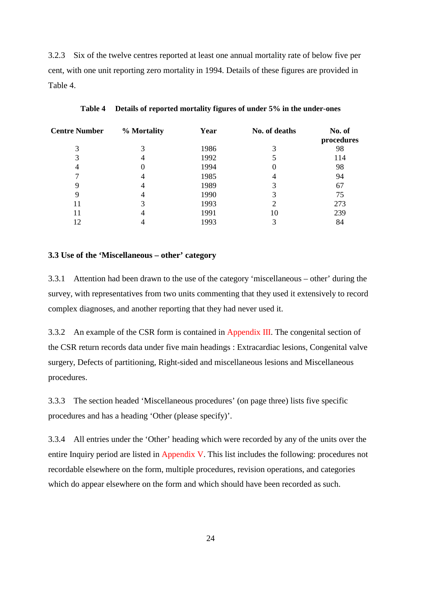3.2.3 Six of the twelve centres reported at least one annual mortality rate of below five per cent, with one unit reporting zero mortality in 1994. Details of these figures are provided in Table 4.

| <b>Centre Number</b> | % Mortality | Year | No. of deaths | No. of<br>procedures |
|----------------------|-------------|------|---------------|----------------------|
|                      |             | 1986 |               | 98                   |
|                      |             | 1992 |               | 114                  |
|                      |             | 1994 |               | 98                   |
|                      |             | 1985 |               | 94                   |
|                      |             | 1989 |               | 67                   |
| 9                    |             | 1990 |               | 75                   |
| 11                   |             | 1993 |               | 273                  |
| 11                   |             | 1991 | 10            | 239                  |
| 12                   |             | 1993 |               | 84                   |

#### **Table 4 Details of reported mortality figures of under 5% in the under-ones**

#### **3.3 Use of the 'Miscellaneous – other' category**

3.3.1 Attention had been drawn to the use of the category 'miscellaneous – other' during the survey, with representatives from two units commenting that they used it extensively to record complex diagnoses, and another reporting that they had never used it.

3.3.2 An example of the CSR form is contained in Appendix III. The congenital section of the CSR return records data under five main headings : Extracardiac lesions, Congenital valve surgery, Defects of partitioning, Right-sided and miscellaneous lesions and Miscellaneous procedures.

3.3.3 The section headed 'Miscellaneous procedures' (on page three) lists five specific procedures and has a heading 'Other (please specify)'.

3.3.4 All entries under the 'Other' heading which were recorded by any of the units over the entire Inquiry period are listed in Appendix V. This list includes the following: procedures not recordable elsewhere on the form, multiple procedures, revision operations, and categories which do appear elsewhere on the form and which should have been recorded as such.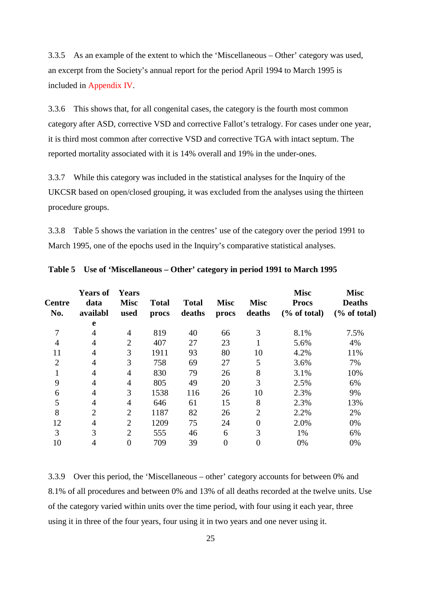3.3.5 As an example of the extent to which the 'Miscellaneous – Other' category was used, an excerpt from the Society's annual report for the period April 1994 to March 1995 is included in Appendix IV.

3.3.6 This shows that, for all congenital cases, the category is the fourth most common category after ASD, corrective VSD and corrective Fallot's tetralogy. For cases under one year, it is third most common after corrective VSD and corrective TGA with intact septum. The reported mortality associated with it is 14% overall and 19% in the under-ones.

3.3.7 While this category was included in the statistical analyses for the Inquiry of the UKCSR based on open/closed grouping, it was excluded from the analyses using the thirteen procedure groups.

3.3.8 Table 5 shows the variation in the centres' use of the category over the period 1991 to March 1995, one of the epochs used in the Inquiry's comparative statistical analyses.

| <b>Centre</b><br>No. | <b>Years of</b><br>data<br>availabl | <b>Years</b><br><b>Misc</b><br>used | <b>Total</b><br>procs | <b>Total</b><br>deaths | <b>Misc</b><br>procs | <b>Misc</b><br>deaths | <b>Misc</b><br><b>Procs</b><br>$\frac{6}{6}$ of total) | <b>Misc</b><br><b>Deaths</b><br>$\frac{6}{6}$ of total) |
|----------------------|-------------------------------------|-------------------------------------|-----------------------|------------------------|----------------------|-----------------------|--------------------------------------------------------|---------------------------------------------------------|
|                      | e                                   |                                     |                       |                        |                      |                       |                                                        |                                                         |
| 7                    | 4                                   | 4                                   | 819                   | 40                     | 66                   | 3                     | 8.1%                                                   | 7.5%                                                    |
| $\overline{4}$       | 4                                   | $\overline{2}$                      | 407                   | 27                     | 23                   |                       | 5.6%                                                   | 4%                                                      |
| 11                   | 4                                   | 3                                   | 1911                  | 93                     | 80                   | 10                    | 4.2%                                                   | 11%                                                     |
| $\overline{2}$       | 4                                   | 3                                   | 758                   | 69                     | 27                   | 5                     | 3.6%                                                   | 7%                                                      |
| 1                    | 4                                   | 4                                   | 830                   | 79                     | 26                   | 8                     | 3.1%                                                   | 10%                                                     |
| 9                    | 4                                   | 4                                   | 805                   | 49                     | 20                   | 3                     | 2.5%                                                   | 6%                                                      |
| 6                    | 4                                   | 3                                   | 1538                  | 116                    | 26                   | 10                    | 2.3%                                                   | 9%                                                      |
| 5                    | 4                                   | 4                                   | 646                   | 61                     | 15                   | 8                     | 2.3%                                                   | 13%                                                     |
| 8                    | $\overline{2}$                      | $\overline{2}$                      | 1187                  | 82                     | 26                   | $\overline{2}$        | 2.2%                                                   | 2%                                                      |
| 12                   | 4                                   | $\overline{2}$                      | 1209                  | 75                     | 24                   | 0                     | 2.0%                                                   | 0%                                                      |
| 3                    | 3                                   | $\overline{2}$                      | 555                   | 46                     | 6                    | 3                     | 1%                                                     | 6%                                                      |
| 10                   | 4                                   | $\overline{0}$                      | 709                   | 39                     | $\overline{0}$       | 0                     | 0%                                                     | 0%                                                      |

**Table 5 Use of 'Miscellaneous – Other' category in period 1991 to March 1995** 

3.3.9 Over this period, the 'Miscellaneous – other' category accounts for between 0% and 8.1% of all procedures and between 0% and 13% of all deaths recorded at the twelve units. Use of the category varied within units over the time period, with four using it each year, three using it in three of the four years, four using it in two years and one never using it.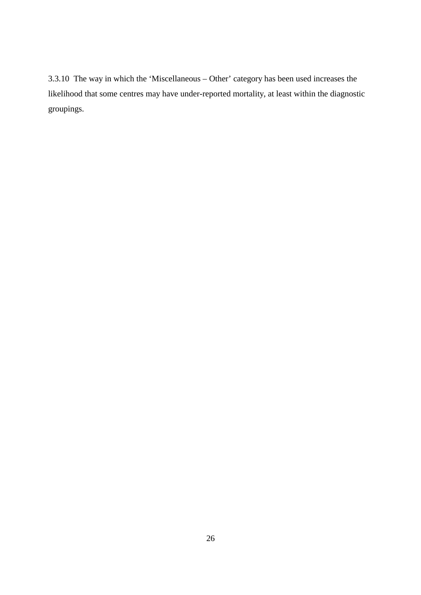3.3.10 The way in which the 'Miscellaneous – Other' category has been used increases the likelihood that some centres may have under-reported mortality, at least within the diagnostic groupings.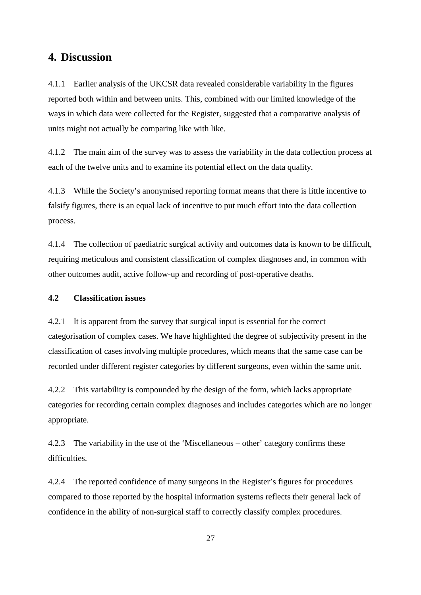## **4. Discussion**

4.1.1 Earlier analysis of the UKCSR data revealed considerable variability in the figures reported both within and between units. This, combined with our limited knowledge of the ways in which data were collected for the Register, suggested that a comparative analysis of units might not actually be comparing like with like.

4.1.2 The main aim of the survey was to assess the variability in the data collection process at each of the twelve units and to examine its potential effect on the data quality.

4.1.3 While the Society's anonymised reporting format means that there is little incentive to falsify figures, there is an equal lack of incentive to put much effort into the data collection process.

4.1.4 The collection of paediatric surgical activity and outcomes data is known to be difficult, requiring meticulous and consistent classification of complex diagnoses and, in common with other outcomes audit, active follow-up and recording of post-operative deaths.

## **4.2 Classification issues**

4.2.1 It is apparent from the survey that surgical input is essential for the correct categorisation of complex cases. We have highlighted the degree of subjectivity present in the classification of cases involving multiple procedures, which means that the same case can be recorded under different register categories by different surgeons, even within the same unit.

4.2.2 This variability is compounded by the design of the form, which lacks appropriate categories for recording certain complex diagnoses and includes categories which are no longer appropriate.

4.2.3 The variability in the use of the 'Miscellaneous – other' category confirms these difficulties.

4.2.4 The reported confidence of many surgeons in the Register's figures for procedures compared to those reported by the hospital information systems reflects their general lack of confidence in the ability of non-surgical staff to correctly classify complex procedures.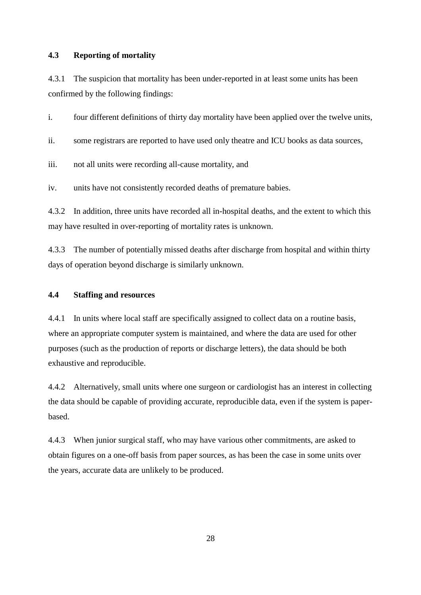### **4.3 Reporting of mortality**

4.3.1 The suspicion that mortality has been under-reported in at least some units has been confirmed by the following findings:

i. four different definitions of thirty day mortality have been applied over the twelve units,

ii. some registrars are reported to have used only theatre and ICU books as data sources,

iii. not all units were recording all-cause mortality, and

iv. units have not consistently recorded deaths of premature babies.

4.3.2 In addition, three units have recorded all in-hospital deaths, and the extent to which this may have resulted in over-reporting of mortality rates is unknown.

4.3.3 The number of potentially missed deaths after discharge from hospital and within thirty days of operation beyond discharge is similarly unknown.

### **4.4 Staffing and resources**

4.4.1 In units where local staff are specifically assigned to collect data on a routine basis, where an appropriate computer system is maintained, and where the data are used for other purposes (such as the production of reports or discharge letters), the data should be both exhaustive and reproducible.

4.4.2 Alternatively, small units where one surgeon or cardiologist has an interest in collecting the data should be capable of providing accurate, reproducible data, even if the system is paperbased.

4.4.3 When junior surgical staff, who may have various other commitments, are asked to obtain figures on a one-off basis from paper sources, as has been the case in some units over the years, accurate data are unlikely to be produced.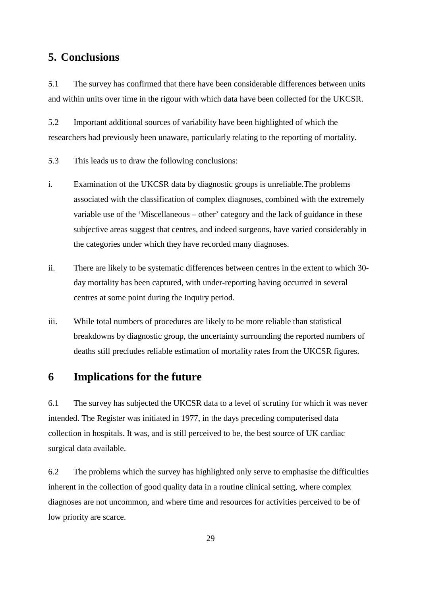# **5. Conclusions**

5.1 The survey has confirmed that there have been considerable differences between units and within units over time in the rigour with which data have been collected for the UKCSR.

5.2 Important additional sources of variability have been highlighted of which the researchers had previously been unaware, particularly relating to the reporting of mortality.

5.3 This leads us to draw the following conclusions:

- i. Examination of the UKCSR data by diagnostic groups is unreliable.The problems associated with the classification of complex diagnoses, combined with the extremely variable use of the 'Miscellaneous – other' category and the lack of guidance in these subjective areas suggest that centres, and indeed surgeons, have varied considerably in the categories under which they have recorded many diagnoses.
- ii. There are likely to be systematic differences between centres in the extent to which 30 day mortality has been captured, with under-reporting having occurred in several centres at some point during the Inquiry period.
- iii. While total numbers of procedures are likely to be more reliable than statistical breakdowns by diagnostic group, the uncertainty surrounding the reported numbers of deaths still precludes reliable estimation of mortality rates from the UKCSR figures.

# **6 Implications for the future**

6.1 The survey has subjected the UKCSR data to a level of scrutiny for which it was never intended. The Register was initiated in 1977, in the days preceding computerised data collection in hospitals. It was, and is still perceived to be, the best source of UK cardiac surgical data available.

6.2 The problems which the survey has highlighted only serve to emphasise the difficulties inherent in the collection of good quality data in a routine clinical setting, where complex diagnoses are not uncommon, and where time and resources for activities perceived to be of low priority are scarce.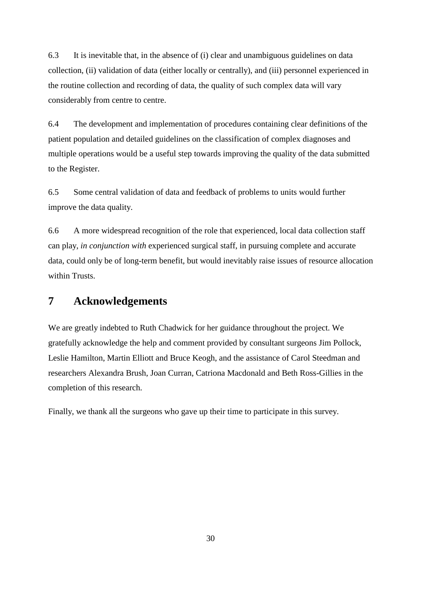6.3 It is inevitable that, in the absence of (i) clear and unambiguous guidelines on data collection, (ii) validation of data (either locally or centrally), and (iii) personnel experienced in the routine collection and recording of data, the quality of such complex data will vary considerably from centre to centre.

6.4 The development and implementation of procedures containing clear definitions of the patient population and detailed guidelines on the classification of complex diagnoses and multiple operations would be a useful step towards improving the quality of the data submitted to the Register.

6.5 Some central validation of data and feedback of problems to units would further improve the data quality.

6.6 A more widespread recognition of the role that experienced, local data collection staff can play, *in conjunction with* experienced surgical staff, in pursuing complete and accurate data, could only be of long-term benefit, but would inevitably raise issues of resource allocation within Trusts.

# **7 Acknowledgements**

We are greatly indebted to Ruth Chadwick for her guidance throughout the project. We gratefully acknowledge the help and comment provided by consultant surgeons Jim Pollock, Leslie Hamilton, Martin Elliott and Bruce Keogh, and the assistance of Carol Steedman and researchers Alexandra Brush, Joan Curran, Catriona Macdonald and Beth Ross-Gillies in the completion of this research.

Finally, we thank all the surgeons who gave up their time to participate in this survey.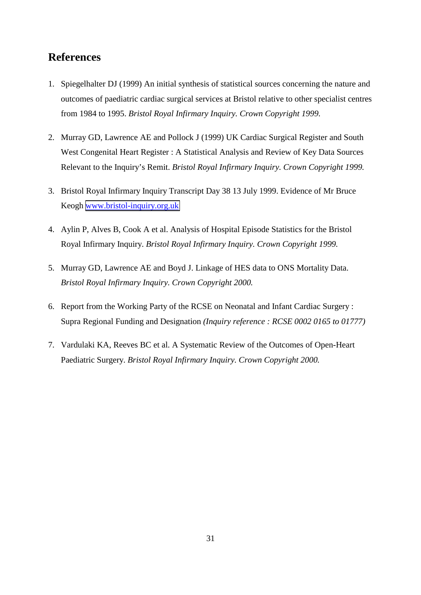# **References**

- 1. Spiegelhalter DJ (1999) An initial synthesis of statistical sources concerning the nature and outcomes of paediatric cardiac surgical services at Bristol relative to other specialist centres from 1984 to 1995. *Bristol Royal Infirmary Inquiry. Crown Copyright 1999.*
- 2. Murray GD, Lawrence AE and Pollock J (1999) UK Cardiac Surgical Register and South West Congenital Heart Register : A Statistical Analysis and Review of Key Data Sources Relevant to the Inquiry's Remit. *Bristol Royal Infirmary Inquiry. Crown Copyright 1999.*
- 3. Bristol Royal Infirmary Inquiry Transcript Day 38 13 July 1999. Evidence of Mr Bruce Keogh [www.bristol-inquiry.org.uk](http://www.bristol-inquiry.org.uk/)
- 4. Aylin P, Alves B, Cook A et al. Analysis of Hospital Episode Statistics for the Bristol Royal Infirmary Inquiry. *Bristol Royal Infirmary Inquiry. Crown Copyright 1999.*
- 5. Murray GD, Lawrence AE and Boyd J. Linkage of HES data to ONS Mortality Data. *Bristol Royal Infirmary Inquiry. Crown Copyright 2000.*
- 6. Report from the Working Party of the RCSE on Neonatal and Infant Cardiac Surgery : Supra Regional Funding and Designation *(Inquiry reference : RCSE 0002 0165 to 01777)*
- 7. Vardulaki KA, Reeves BC et al. A Systematic Review of the Outcomes of Open-Heart Paediatric Surgery. *Bristol Royal Infirmary Inquiry. Crown Copyright 2000.*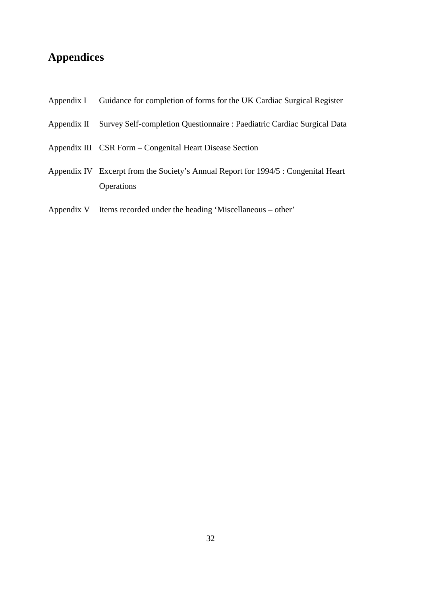# **Appendices**

- Appendix I Guidance for completion of forms for the UK Cardiac Surgical Register
- Appendix II Survey Self-completion Questionnaire : Paediatric Cardiac Surgical Data
- Appendix III CSR Form Congenital Heart Disease Section
- Appendix IV Excerpt from the Society's Annual Report for 1994/5 : Congenital Heart **Operations**
- Appendix V Items recorded under the heading 'Miscellaneous other'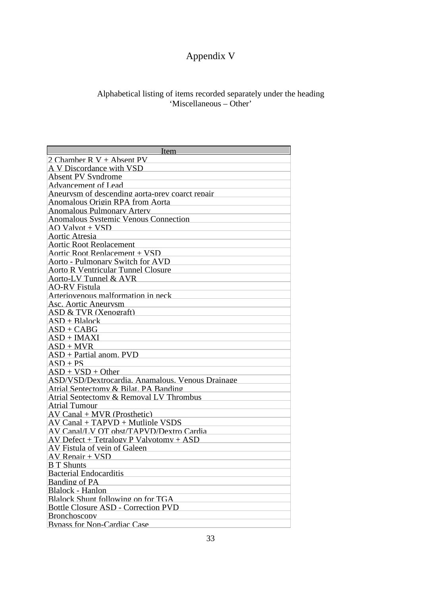# Appendix V

## Alphabetical listing of items recorded separately under the heading 'Miscellaneous – Other'

| Item                                             |
|--------------------------------------------------|
| 2 Chamber $R V +$ Absent PV                      |
| A V Discordance with VSD                         |
| Absent PV Syndrome                               |
| <b>Advancement of Lead</b>                       |
| Aneurvsm of descending aorta-prev coarct repair  |
| Anomalous Origin RPA from Aorta                  |
| Anomalous Pulmonary Artery                       |
| <b>Anomalous Systemic Venous Connection</b>      |
| AO Valvot + VSD                                  |
| Aortic Atresia                                   |
| <b>Aortic Root Replacement</b>                   |
| Aortic Root Replacement + VSD                    |
| Aorto - Pulmonary Switch for AVD                 |
| <b>Aorto R Ventricular Tunnel Closure</b>        |
| Aorto-LV Tunnel & AVR                            |
| <b>AO-RV Fistula</b>                             |
| Arteriovenous malformation in neck               |
| Asc. Aortic Aneurvsm                             |
| ASD & TVR (Xenograft)                            |
| $ASD + Blalock$                                  |
| $ASD + CABG$                                     |
| $ASD + IMAXI$                                    |
| $ASD + MVR$                                      |
| $ASD + Partial$ anom. PVD                        |
| $ASD + PS$                                       |
| $ASD + VSD + Other$                              |
| ASD/VSD/Dextrocardia. Anamalous. Venous Drainage |
| Atrial Sentectomy & Bilat. PA Banding            |
| Atrial Sentectomy & Removal LV Thrombus          |
| Atrial Tumour                                    |
| $AV Canal + MVR$ (Prosthetic)                    |
| $AV Canal + TAPVD + Multiple VSDS$               |
| AV Canal/LV OT obst/TAPVD/Dextro Cardia          |
| $AV$ Defect + Tetralogy P Valvotomy + ASD        |
| AV Fistula of vein of Galeen                     |
| AV Repair + VSD                                  |
| <b>B</b> T Shunts                                |
| <b>Bacterial Endocarditis</b>                    |
| Banding of PA                                    |
| Blalock - Hanlon                                 |
| Blalock Shunt following on for TGA               |
| Bottle Closure ASD - Correction PVD              |
| <b>Bronchosconv</b>                              |
| <b>Bypass for Non-Cardiac Case</b>               |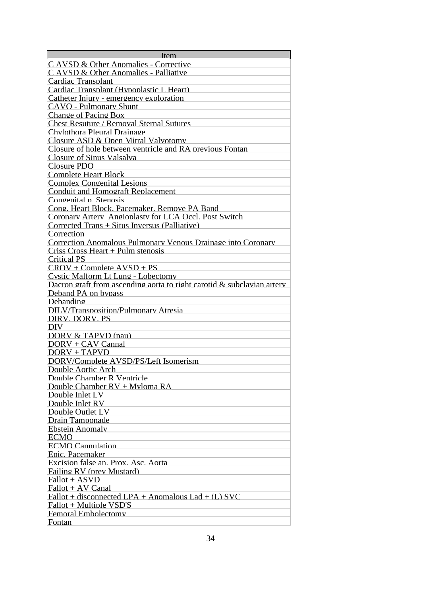| <b>Item</b>                                                            |
|------------------------------------------------------------------------|
| C AVSD & Other Anomalies - Corrective                                  |
| C AVSD & Other Anomalies - Palliative                                  |
| Cardiac Transplant                                                     |
| Cardiac Transplant (Hypoplastic L Heart)                               |
| Catheter Iniury - emergency exploration                                |
| CAVO - Pulmonary Shunt                                                 |
| Change of Pacing Box                                                   |
| <b>Chest Resuture / Removal Sternal Sutures</b>                        |
| Chylothora Pleural Drainage                                            |
| Closure ASD & Open Mitral Valvotomy                                    |
|                                                                        |
| Closure of hole between ventricle and RA previous Fontan               |
| Closure of Sinus Valsalva                                              |
| Closure PDO                                                            |
| <b>Complete Heart Block</b>                                            |
| <b>Complex Congenital Lesions</b>                                      |
| Conduit and Homograft Replacement                                      |
| Congenital p. Stenosis                                                 |
| Cong. Heart Block. Pacemaker. Remove PA Band                           |
| Coronary Artery Angionlasty for LCA Occl. Post Switch                  |
| Corrected Trans + Situs Inversus (Palliative)                          |
| Correction                                                             |
| Correction Anomalous Pulmonary Venous Drainage into Coronary           |
| Criss Cross Heart $+$ Pulm stenosis                                    |
| <b>Critical PS</b>                                                     |
| $CROV + Complete AVSD + PS$                                            |
| Cystic Malform Lt Lung - Lobectomy                                     |
| Dacron graft from ascending aorta to right carotid & subclavian artery |
| Deband PA on bypass                                                    |
| Debanding                                                              |
| <b>DILV/Transposition/Pulmonary Atresia</b>                            |
| DIRV. DORV. PS                                                         |
| <b>DIV</b>                                                             |
| DORV $&$ TAPVD (pau)                                                   |
| $DORV + CAV$ Cannal                                                    |
| $DORV + TAPVD$                                                         |
| DORV/Complete AVSD/PS/Left Isomerism                                   |
| Double Aortic Arch                                                     |
| Double Chamber R Ventricle                                             |
| Double Chamber $RV + M$ vloma $RA$                                     |
|                                                                        |
| Double Inlet $LV$                                                      |
| Double Inlet RV                                                        |
| Double Outlet LV                                                       |
| Drain Tamnonade                                                        |
| Ehstein Anomalv                                                        |
| ECMO                                                                   |
| <b>ECMO</b> Cannulation                                                |
| Enic. Pacemaker                                                        |
| Excision false an. Prox. Asc. Aorta                                    |
| Failing RV (prev Mustard)                                              |
| $Fallot + ASVD$                                                        |
| $Fallot + AV Canal$                                                    |
| Fallot + disconnected LPA + Anomalous Lad + $(L)$ SVC                  |
| Fallot + Multiple VSD'S                                                |
| Femoral Embolectomy                                                    |
| Fontan                                                                 |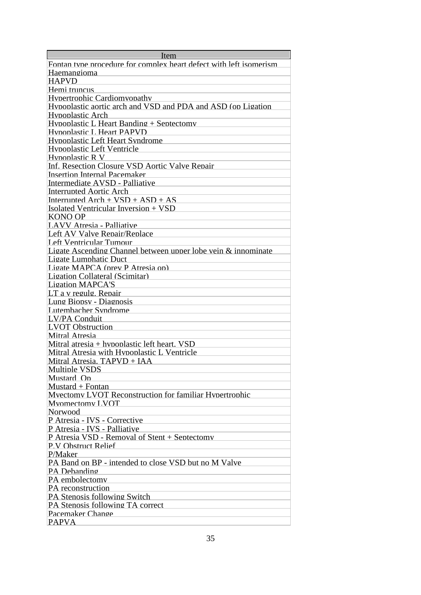| Item                                                               |
|--------------------------------------------------------------------|
| Fontan type procedure for complex heart defect with left isomerism |
| Haemangioma                                                        |
| <b>HAPVD</b>                                                       |
| Hemi truncus                                                       |
| Hypertrophic Cardiomyopathy                                        |
| Hypoplastic aortic arch and VSD and PDA and ASD (on Ligation       |
| Hypoplastic Arch                                                   |
| Hypoplastic L Heart Banding + Septectomy                           |
| <b>Hypoplastic L Heart PAPVD</b>                                   |
| Hypoplastic Left Heart Syndrome                                    |
| Hypoplastic Left Ventricle                                         |
| Hypoplastic R V                                                    |
| Inf. Resection Closure VSD Aortic Valve Repair                     |
|                                                                    |
| <b>Insertion Internal Pacemaker</b>                                |
| Intermediate AVSD - Palliative                                     |
| <b>Interrupted Aortic Arch</b>                                     |
| Interrupted $Arch + VSD + ASD + AS$                                |
| Isolated Ventricular Inversion + VSD                               |
| KONO OP                                                            |
| LAVV Atresia - Palliative                                          |
| Left AV Valve Repair/Replace                                       |
| Left Ventricular Tumour                                            |
| Ligate Ascending Channel between upper lobe vein & innominate      |
| Ligate Lumphatic Duct                                              |
| Ligate MAPCA (prev P Atresia op)                                   |
| Ligation Collateral (Scimitar)                                     |
| <b>Ligation MAPCA'S</b>                                            |
| LT a v regulg. Repair                                              |
| Lung Bionsy - Diagnosis                                            |
| Lutembacher Syndrome                                               |
| LV/PA Conduit                                                      |
| <b>LVOT</b> Obstruction                                            |
| <b>Mitral Atresia</b>                                              |
| Mitral atresia $+$ hypoplastic left heart. VSD                     |
| Mitral Atresia with Hypoplastic L Ventricle                        |
| Mitral Atresia. TAPVD + IAA                                        |
| Multiple VSDS                                                      |
| Mustard On                                                         |
| $Mustard + Fontan$                                                 |
| Mvectomy LVOT Reconstruction for familiar Hypertrophic             |
| Mvomectomy LVOT                                                    |
| Norwood                                                            |
| P Atresia - IVS - Corrective                                       |
| P Atresia - IVS - Palliative                                       |
| P Atresia VSD - Removal of Stent + Sentectomy                      |
| P.V Obstruct Relief                                                |
|                                                                    |
| P/Maker                                                            |
| PA Band on BP - intended to close VSD but no M Valve               |
| PA Debanding                                                       |
| PA embolectomy                                                     |
| PA reconstruction                                                  |
| PA Stenosis following Switch                                       |
| PA Stenosis following TA correct                                   |
| Pacemaker Change                                                   |
| <b>PAPVA</b>                                                       |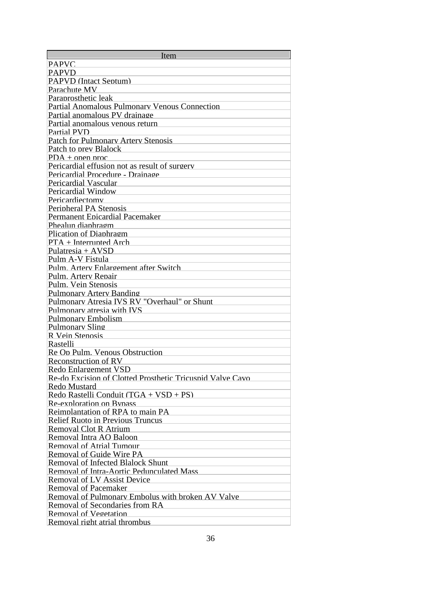| Item                                                      |
|-----------------------------------------------------------|
| <b>PAPVC</b>                                              |
| <b>PAPVD</b>                                              |
| <b>PAPVD</b> (Intact Sentum)                              |
| Parachute MV                                              |
| Paraprosthetic leak                                       |
| <b>Partial Anomalous Pulmonary Venous Connection</b>      |
| Partial anomalous PV drainage                             |
| Partial anomalous venous return                           |
| Partial PVD                                               |
| <b>Patch for Pulmonary Artery Stenosis</b>                |
| Patch to prev Blalock                                     |
| $PDA + \text{open proc}$                                  |
| Pericardial effusion not as result of surgery             |
| Pericardial Procedure - Drainage                          |
| Pericardial Vascular                                      |
| Pericardial Window                                        |
| Pericardiectomv                                           |
| Peripheral PA Stenosis                                    |
| Permanent Epicardial Pacemaker                            |
| Phealun diaphragm                                         |
| Plication of Diaphragm                                    |
| $PTA + Internet$ Arch                                     |
| Pulatresia + $AVSD$                                       |
| Pulm A-V Fistula                                          |
| Pulm. Artery Enlargement after Switch                     |
| Pulm. Artery Repair                                       |
| Pulm. Vein Stenosis                                       |
| Pulmonary Artery Banding                                  |
| Pulmonary Atresia IVS RV "Overhaul" or Shunt              |
| Pulmonary atresia with IVS                                |
|                                                           |
| <b>Pulmonary Embolism</b>                                 |
| Pulmonary Sling                                           |
| R Vein Stenosis                                           |
| Rastelli                                                  |
| Re On Pulm. Venous Obstruction                            |
| Reconstruction of RV                                      |
| Redo Enlargement VSD                                      |
| Re-do Excision of Clotted Prosthetic Tricuspid Valve Cavo |
| Redo Mustard                                              |
| Redo Rastelli Conduit $(TGA + VSD + PS)$                  |
| Re-exploration on Bypass                                  |
| Reimplantation of RPA to main PA                          |
| <b>Relief Ruoto in Previous Truncus</b>                   |
| Removal Clot R Atrium                                     |
| Removal Intra AO Baloon                                   |
| Removal of Atrial Tumour                                  |
| Removal of Guide Wire PA                                  |
| Removal of Infected Blalock Shunt                         |
| Removal of Intra-Aortic Pedunculated Mass                 |
| Removal of LV Assist Device                               |
| Removal of Pacemaker                                      |
| Removal of Pulmonary Embolus with broken AV Valve         |
| Removal of Secondaries from RA                            |
| Removal of Vegetation                                     |
| Removal right atrial thrombus                             |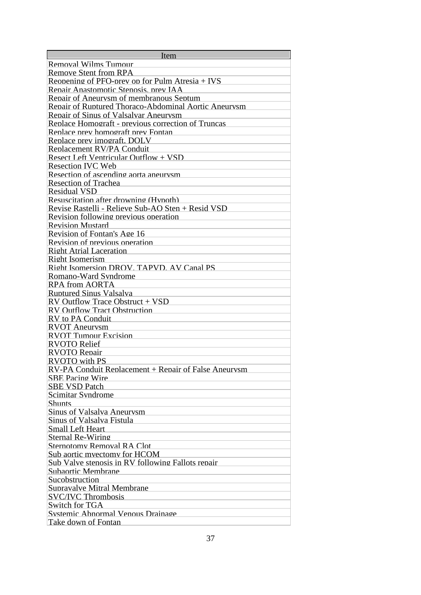| Item                                                 |
|------------------------------------------------------|
| Removal Wilms Tumour                                 |
| <b>Remove Stent from RPA</b>                         |
| Reopening of PFO-prev on for Pulm Atresia $+$ IVS    |
| Repair Anastomotic Stenosis, prev IAA                |
| Repair of Aneurysm of membranous Septum              |
| Repair of Ruptured Thoraco-Abdominal Aortic Aneurysm |
| Repair of Sinus of Valsalvar Aneurysm                |
| Replace Homograft - previous correction of Truncas   |
| Replace prev homograft prev Fontan                   |
| Replace prev imograft. DOLV                          |
| Replacement RV/PA Conduit                            |
| Resect Left Ventricular Outflow + VSD                |
| <b>Resection IVC Web</b>                             |
| Resection of ascending aorta aneurysm                |
| Resection of Trachea                                 |
| <b>Residual VSD</b>                                  |
| Resuscitation after drowning (Hypoth)                |
|                                                      |
| Revise Rastelli - Relieve Sub-AO Sten + Resid VSD    |
| Revision following previous operation                |
| <b>Revision Mustard</b>                              |
| Revision of Fontan's Age 16                          |
| Revision of previous operation                       |
| <b>Right Atrial Laceration</b>                       |
| Right Isomerism                                      |
| Right Isomersion DROV. TAPVD. AV Canal PS            |
| Romano-Ward Syndrome                                 |
| <b>RPA from AORTA</b>                                |
| <b>Ruptured Sinus Valsalva</b>                       |
| RV Outflow Trace Obstruct + VSD                      |
| <b>RV Outflow Tract Obstruction</b>                  |
| RV to PA Conduit                                     |
| <b>RVOT</b> Aneurysm                                 |
| <b>RVOT Tumour Excision</b>                          |
| <b>RVOTO Relief</b>                                  |
| <b>RVOTO</b> Renair                                  |
| <b>RVOTO</b> with PS                                 |
| RV-PA Conduit Renlacement + Renair of False Aneurysm |
| <b>SBE Pacing Wire</b>                               |
| <b>SBE VSD Patch</b>                                 |
| Scimitar Syndrome                                    |
| <b>Shunts</b>                                        |
| Sinus of Valsalva Aneurysm                           |
| Sinus of Valsalva Fistula                            |
| Small Left Heart                                     |
| Sternal Re-Wiring                                    |
| Sternotomy Removal RA Clot                           |
| Sub aortic myectomy for HCOM                         |
| Sub Valve stenosis in RV following Fallots repair    |
| Subaortic Membrane                                   |
| Sucobstruction                                       |
| Supravalve Mitral Membrane                           |
| <b>SVC/IVC Thrombosis</b>                            |
| Switch for TGA                                       |
| Systemic Abnormal Venous Drainage                    |
| Take down of Fontan                                  |